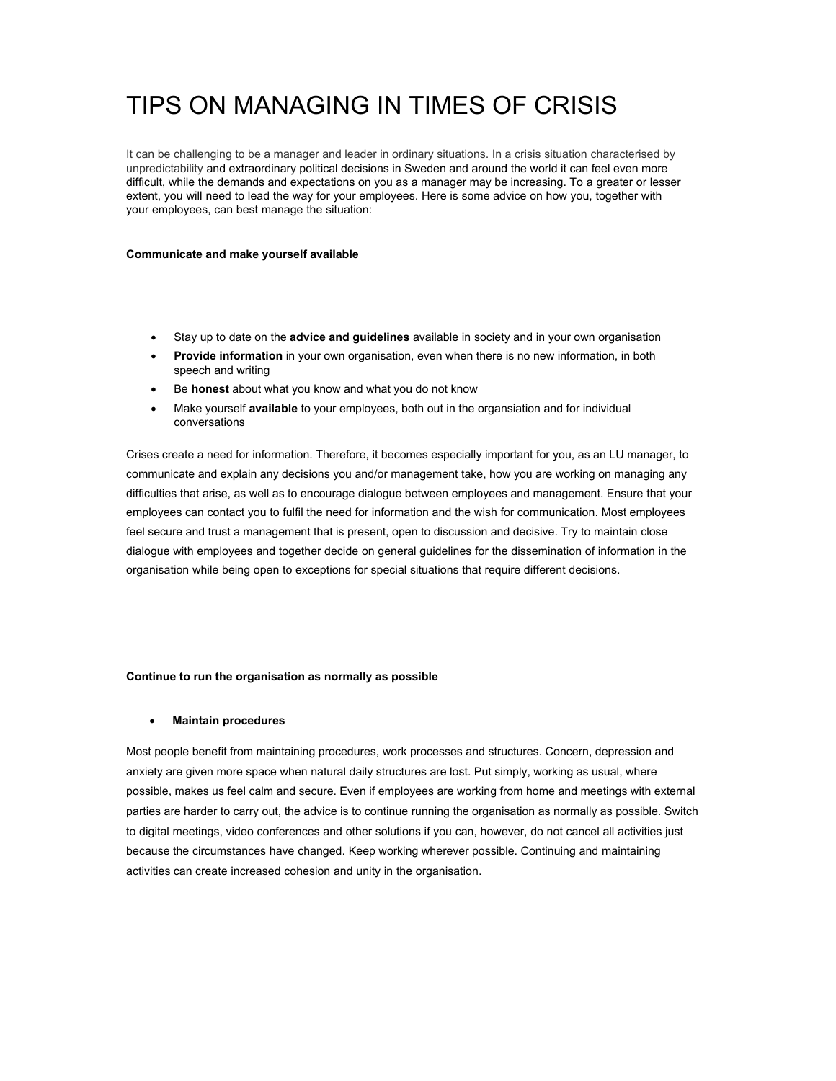# TIPS ON MANAGING IN TIMES OF CRISIS

It can be challenging to be a manager and leader in ordinary situations. In a crisis situation characterised by unpredictability and extraordinary political decisions in Sweden and around the world it can feel even more difficult, while the demands and expectations on you as a manager may be increasing. To a greater or lesser extent, you will need to lead the way for your employees. Here is some advice on how you, together with your employees, can best manage the situation:

#### **Communicate and make yourself available**

- Stay up to date on the **advice and guidelines** available in society and in your own organisation
- **Provide information** in your own organisation, even when there is no new information, in both speech and writing
- Be **honest** about what you know and what you do not know
- Make yourself **available** to your employees, both out in the organsiation and for individual conversations

Crises create a need for information. Therefore, it becomes especially important for you, as an LU manager, to communicate and explain any decisions you and/or management take, how you are working on managing any difficulties that arise, as well as to encourage dialogue between employees and management. Ensure that your employees can contact you to fulfil the need for information and the wish for communication. Most employees feel secure and trust a management that is present, open to discussion and decisive. Try to maintain close dialogue with employees and together decide on general guidelines for the dissemination of information in the organisation while being open to exceptions for special situations that require different decisions.

### **Continue to run the organisation as normally as possible**

### **Maintain procedures**

Most people benefit from maintaining procedures, work processes and structures. Concern, depression and anxiety are given more space when natural daily structures are lost. Put simply, working as usual, where possible, makes us feel calm and secure. Even if employees are working from home and meetings with external parties are harder to carry out, the advice is to continue running the organisation as normally as possible. Switch to digital meetings, video conferences and other solutions if you can, however, do not cancel all activities just because the circumstances have changed. Keep working wherever possible. Continuing and maintaining activities can create increased cohesion and unity in the organisation.